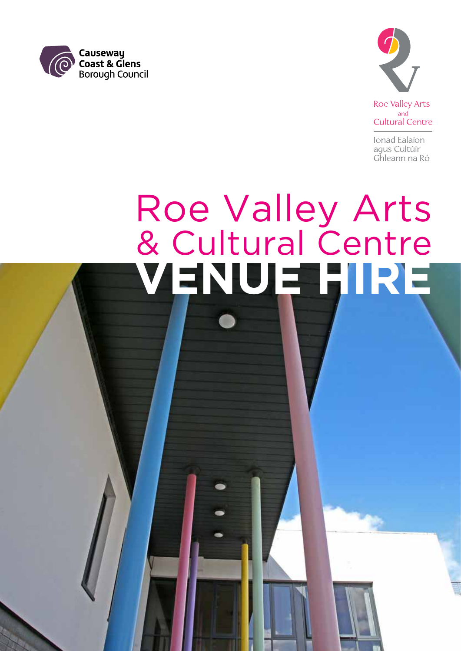



**Roe Valley Arts** and **Cultural Centre** 

Ionad Ealaíon agus Cultúir Ghleann na Ró

# **VENUE HIRE** Roe Valley Arts & Cultural Centre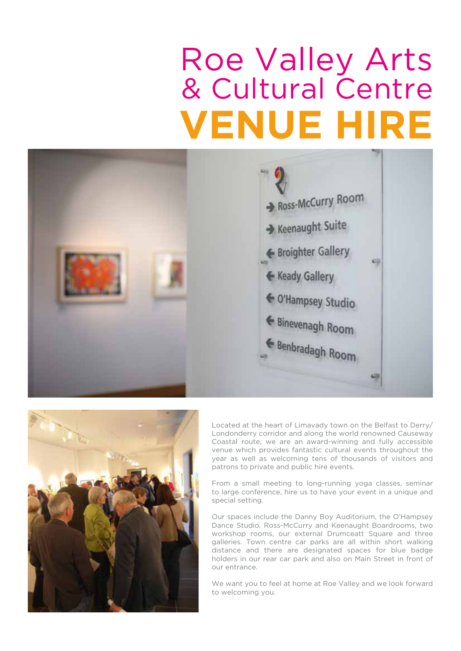## **VENUE HIRE** Roe Valley Arts & Cultural Centre





Located at the heart of Limavady town on the Belfast to Derry/ Londonderry corridor and along the world renowned Causeway Coastal route, we are an award-winning and fully accessible venue which provides fantastic cultural events throughout the year as well as welcoming tens of thousands of visitors and patrons to private and public hire events.

From a small meeting to long-running yoga classes, seminar to large conference, hire us to have your event in a unique and special setting.

Our spaces include the Danny Boy Auditorium, the O'Hampsey Dance Studio, Ross-McCurry and Keenaught Boardrooms, two workshop rooms, our external Drumceatt Square and three galleries. Town centre car parks are all within short walking distance and there are designated spaces for blue badge holders in our rear car park and also on Main Street in front of our entrance.

We want you to feel at home at Roe Valley and we look forward to welcoming you.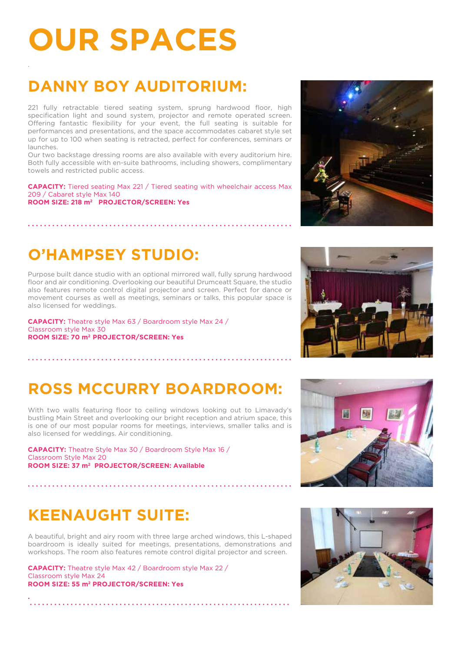## **OUR SPACES**

## **DANNY BOY AUDITORIUM:**

221 fully retractable tiered seating system, sprung hardwood floor, high specification light and sound system, projector and remote operated screen. Offering fantastic flexibility for your event, the full seating is suitable for performances and presentations, and the space accommodates cabaret style set up for up to 100 when seating is retracted, perfect for conferences, seminars or launches.

Our two backstage dressing rooms are also available with every auditorium hire. Both fully accessible with en-suite bathrooms, including showers, complimentary towels and restricted public access.

**CAPACITY:** Tiered seating Max 221 / Tiered seating with wheelchair access Max 209 / Cabaret style Max 140 **ROOM SIZE: 218 m2 PROJECTOR/SCREEN: Yes**

Purpose built dance studio with an optional mirrored wall, fully sprung hardwood

floor and air conditioning. Overlooking our beautiful Drumceatt Square, the studio also features remote control digital projector and screen. Perfect for dance or movement courses as well as meetings, seminars or talks, this popular space is also licensed for weddings.

**CAPACITY:** Theatre style Max 63 / Boardroom style Max 24 / Classroom style Max 30 **ROOM SIZE: 70 m2 PROJECTOR/SCREEN: Yes**

**. . . . . . . . . . . . . . . . . . . . . . . . . . . . . . . . . . . . . . . . . . . . . . . . . . . . . . . . . . . . . . . . .** 

## **O'HAMPSEY STUDIO:**

**. . . . . . . . . . . . . . . . . . . . . . . . . . . . . . . . . . . . . . . . . . . . . . . . . . . . . . . . . . . . . . . . .** 

**ROSS MCCURRY BOARDROOM:**

With two walls featuring floor to ceiling windows looking out to Limavady's bustling Main Street and overlooking our bright reception and atrium space, this is one of our most popular rooms for meetings, interviews, smaller talks and is also licensed for weddings. Air conditioning.

**CAPACITY:** Theatre Style Max 30 / Boardroom Style Max 16 / Classroom Style Max 20 **ROOM SIZE: 37 m2 PROJECTOR/SCREEN: Available**

#### **KEENAUGHT SUITE:**

**.**

.

A beautiful, bright and airy room with three large arched windows, this L-shaped boardroom is ideally suited for meetings, presentations, demonstrations and workshops. The room also features remote control digital projector and screen.

**. . . . . . . . . . . . . . . . . . . . . . . . . . . . . . . . . . . . . . . . . . . . . . . . . . . . . . . . . . . . . . . . .** 

**CAPACITY:** Theatre style Max 42 / Boardroom style Max 22 / Classroom style Max 24 **ROOM SIZE: 55 m2 PROJECTOR/SCREEN: Yes**

 **. . . . . . . . . . . . . . . . . . . . . . . . . . . . . . . . . . . . . . . . . . . . . . . . . . . . . . . . . . . . . . . .**